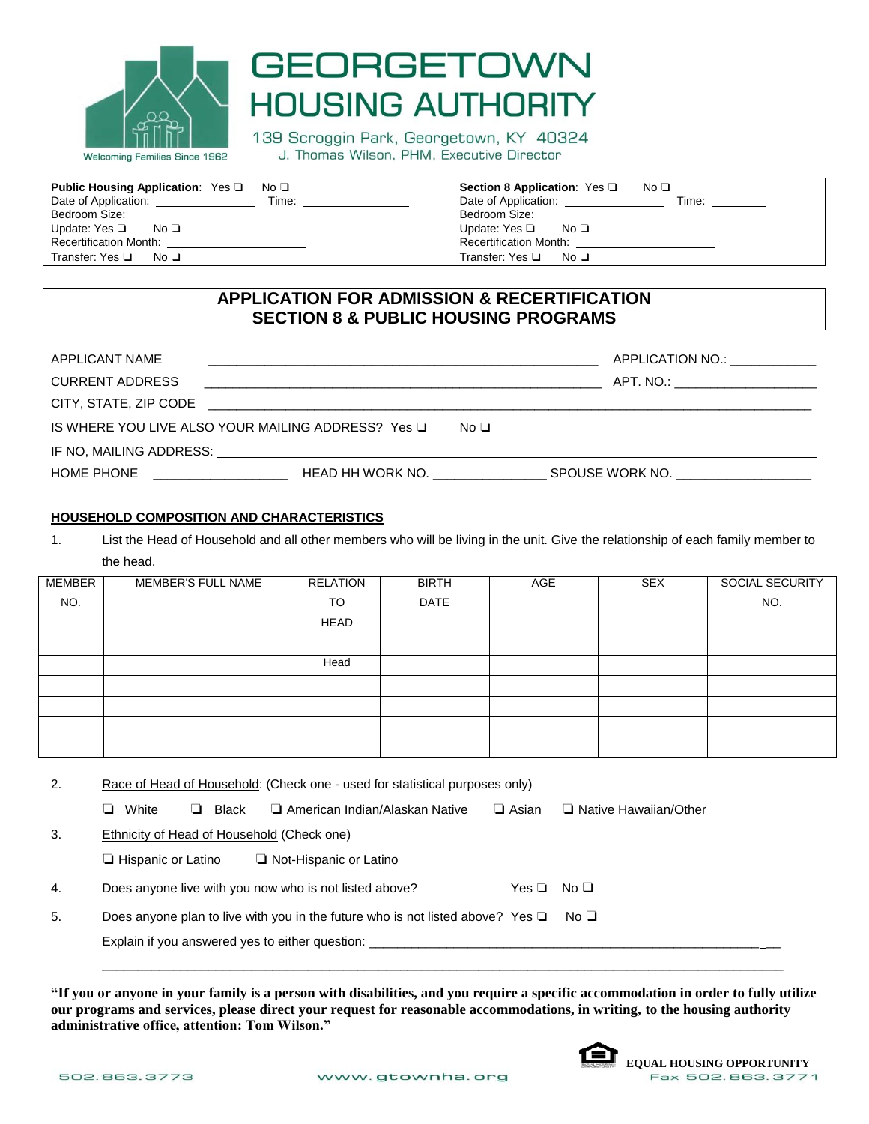

# **GEORGETOWN HOUSING AUTHORITY**

139 Scroggin Park, Georgetown, KY 40324 J. Thomas Wilson, PHM, Executive Director

| <b>Public Housing Application:</b> Yes $\Box$<br>No <sub>1</sub> | Section 8 Application: Yes $\Box$<br>No ❑   |
|------------------------------------------------------------------|---------------------------------------------|
| Date of Application:<br>Time:                                    | Date of Application:<br>Time:               |
| Bedroom Size: ____________                                       | Bedroom Size: North States                  |
| Update: Yes $\Box$ No $\Box$                                     | Update: Yes $\square$ No $\square$          |
| Recertification Month: Necessary Months                          | Recertification Month: ____________________ |
| Transfer: Yes ❑<br>No □                                          | Transfer: Yes □ No □                        |

## **APPLICATION FOR ADMISSION & RECERTIFICATION SECTION 8 & PUBLIC HOUSING PROGRAMS**

| APPLICANT NAME         | <u> 1980 - An Aonaichte ann an Caobhair an Comhair ann an Comhair ann an Comhair ann an Comhair ann an Comhair an</u> |  | APPLICATION NO.:                   |  |  |
|------------------------|-----------------------------------------------------------------------------------------------------------------------|--|------------------------------------|--|--|
| <b>CURRENT ADDRESS</b> |                                                                                                                       |  | APT. NO.: ________________________ |  |  |
| CITY, STATE, ZIP CODE  | <u> 1999 - Jan James James James James James James James James James James James James James James James James J</u>  |  |                                    |  |  |
|                        | IS WHERE YOU LIVE ALSO YOUR MAILING ADDRESS? Yes □<br>No □                                                            |  |                                    |  |  |
|                        |                                                                                                                       |  |                                    |  |  |
| HOME PHONE             | <u> 1989 - John Stein, Amerikaansk politiker (</u>                                                                    |  |                                    |  |  |

### **HOUSEHOLD COMPOSITION AND CHARACTERISTICS**

1. List the Head of Household and all other members who will be living in the unit. Give the relationship of each family member to the head.

| MEMBER | MEMBER'S FULL NAME | RELATION | <b>BIRTH</b> | AGE | SEX | SOCIAL SECURITY |
|--------|--------------------|----------|--------------|-----|-----|-----------------|
| NO.    |                    | TO       | DATE         |     |     | NO.             |
|        |                    | HEAD     |              |     |     |                 |
|        |                    |          |              |     |     |                 |
|        |                    | Head     |              |     |     |                 |
|        |                    |          |              |     |     |                 |
|        |                    |          |              |     |     |                 |
|        |                    |          |              |     |     |                 |
|        |                    |          |              |     |     |                 |
|        |                    |          |              |     |     |                 |

| 2. | Race of Head of Household: (Check one - used for statistical purposes only)         |                                       |              |                         |  |
|----|-------------------------------------------------------------------------------------|---------------------------------------|--------------|-------------------------|--|
|    | White<br>Black<br>┙<br>ப                                                            | $\Box$ American Indian/Alaskan Native | $\Box$ Asian | □ Native Hawaiian/Other |  |
| 3. | <b>Ethnicity of Head of Household (Check one)</b>                                   |                                       |              |                         |  |
|    | $\square$ Hispanic or Latino                                                        | $\Box$ Not-Hispanic or Latino         |              |                         |  |
| 4. | Does anyone live with you now who is not listed above?                              |                                       | Yes □        | No <sub>1</sub>         |  |
| 5. | Does anyone plan to live with you in the future who is not listed above? Yes $\Box$ |                                       |              | No <sub>1</sub>         |  |
|    | Explain if you answered yes to either question:                                     |                                       |              |                         |  |
|    |                                                                                     |                                       |              |                         |  |

**"If you or anyone in your family is a person with disabilities, and you require a specific accommodation in order to fully utilize our programs and services, please direct your request for reasonable accommodations, in writing, to the housing authority administrative office, attention: Tom Wilson."**

 $\mathcal{L}_\mathcal{L} = \{ \mathcal{L}_\mathcal{L} = \{ \mathcal{L}_\mathcal{L} = \{ \mathcal{L}_\mathcal{L} = \{ \mathcal{L}_\mathcal{L} = \{ \mathcal{L}_\mathcal{L} = \{ \mathcal{L}_\mathcal{L} = \{ \mathcal{L}_\mathcal{L} = \{ \mathcal{L}_\mathcal{L} = \{ \mathcal{L}_\mathcal{L} = \{ \mathcal{L}_\mathcal{L} = \{ \mathcal{L}_\mathcal{L} = \{ \mathcal{L}_\mathcal{L} = \{ \mathcal{L}_\mathcal{L} = \{ \mathcal{L}_\mathcal{$ 

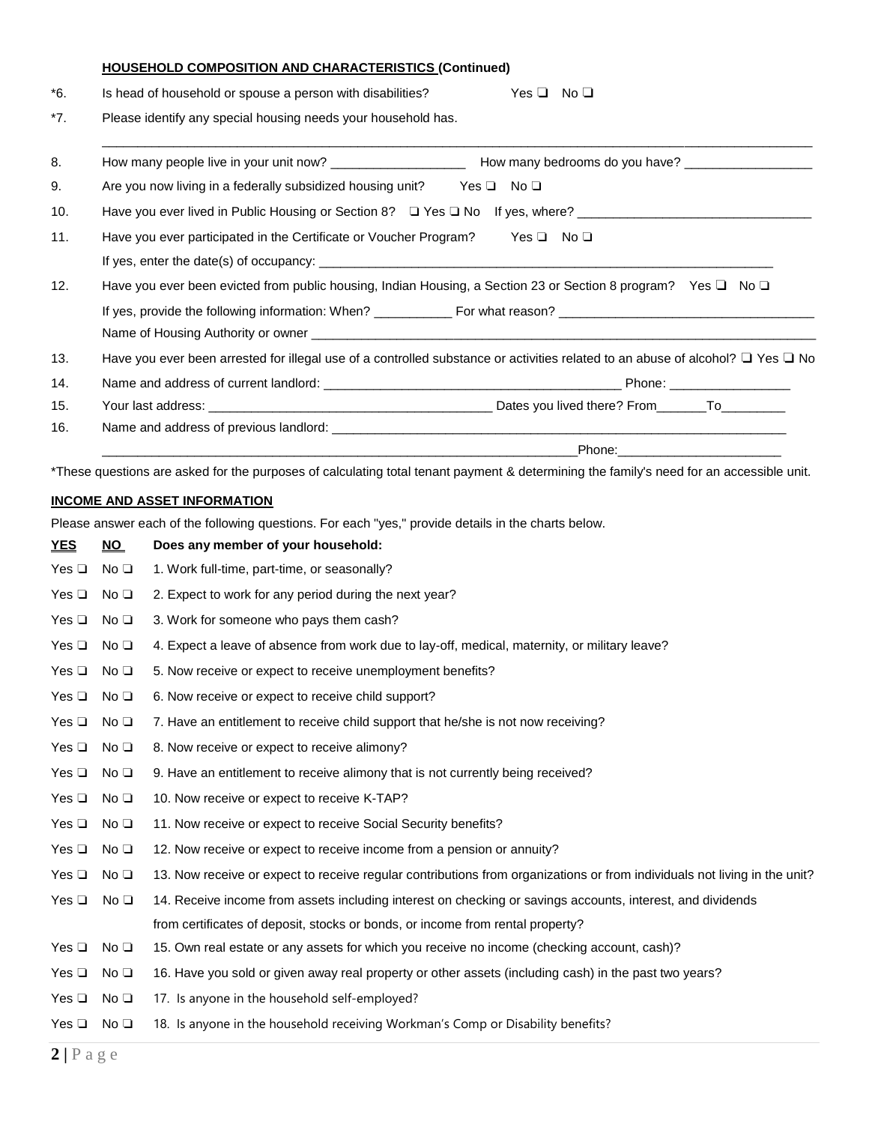#### **HOUSEHOLD COMPOSITION AND CHARACTERISTICS (Continued)**

| $*6.$ | Yes $\Box$ No $\Box$<br>Is head of household or spouse a person with disabilities?                                                       |
|-------|------------------------------------------------------------------------------------------------------------------------------------------|
| $*7.$ | Please identify any special housing needs your household has.                                                                            |
| 8.    |                                                                                                                                          |
| 9.    | Are you now living in a federally subsidized housing unit? Yes $\square$ No $\square$                                                    |
| 10.   | Have you ever lived in Public Housing or Section 8? □ Yes □ No If yes, where? _________________________________                          |
| 11.   | Have you ever participated in the Certificate or Voucher Program? Yes $\square$ No $\square$                                             |
|       |                                                                                                                                          |
| 12.   | Have you ever been evicted from public housing, Indian Housing, a Section 23 or Section 8 program? Yes $\square$ No $\square$            |
|       |                                                                                                                                          |
| 13.   | Have you ever been arrested for illegal use of a controlled substance or activities related to an abuse of alcohol? $\Box$ Yes $\Box$ No |
| 14.   |                                                                                                                                          |
| 15.   |                                                                                                                                          |
| 16.   |                                                                                                                                          |
|       | Phone: ___________________________                                                                                                       |

\*These questions are asked for the purposes of calculating total tenant payment & determining the family's need for an accessible unit.

### **INCOME AND ASSET INFORMATION**

Please answer each of the following questions. For each "yes," provide details in the charts below.

| <b>YES</b>    | NO              | Does any member of your household:                                                                                        |
|---------------|-----------------|---------------------------------------------------------------------------------------------------------------------------|
| Yes $\square$ | No <sub>1</sub> | 1. Work full-time, part-time, or seasonally?                                                                              |
| Yes $\Box$    | No <sub>1</sub> | 2. Expect to work for any period during the next year?                                                                    |
| Yes $\square$ | No <sub>1</sub> | 3. Work for someone who pays them cash?                                                                                   |
| Yes $\square$ | No <sub>1</sub> | 4. Expect a leave of absence from work due to lay-off, medical, maternity, or military leave?                             |
| Yes $\square$ | No <sub>1</sub> | 5. Now receive or expect to receive unemployment benefits?                                                                |
| Yes $\square$ | No <sub>1</sub> | 6. Now receive or expect to receive child support?                                                                        |
| Yes $\Box$    | No <sub>1</sub> | 7. Have an entitlement to receive child support that he/she is not now receiving?                                         |
| Yes $\Box$    | No <sub>1</sub> | 8. Now receive or expect to receive alimony?                                                                              |
| Yes $\square$ | No <sub>1</sub> | 9. Have an entitlement to receive alimony that is not currently being received?                                           |
| Yes $\square$ | No <sub>1</sub> | 10. Now receive or expect to receive K-TAP?                                                                               |
| Yes $\square$ | No <sub>1</sub> | 11. Now receive or expect to receive Social Security benefits?                                                            |
| Yes $\square$ | No <sub>1</sub> | 12. Now receive or expect to receive income from a pension or annuity?                                                    |
| Yes $\square$ | No <sub>1</sub> | 13. Now receive or expect to receive regular contributions from organizations or from individuals not living in the unit? |
| Yes $\square$ | No <sub>1</sub> | 14. Receive income from assets including interest on checking or savings accounts, interest, and dividends                |
|               |                 | from certificates of deposit, stocks or bonds, or income from rental property?                                            |
| Yes $\square$ | No <sub>1</sub> | 15. Own real estate or any assets for which you receive no income (checking account, cash)?                               |
| Yes $\square$ | No <sub>1</sub> | 16. Have you sold or given away real property or other assets (including cash) in the past two years?                     |
| Yes $\square$ | No <sub>1</sub> | 17. Is anyone in the household self-employed?                                                                             |
| Yes $\Box$    | No <sub>1</sub> | 18. Is anyone in the household receiving Workman's Comp or Disability benefits?                                           |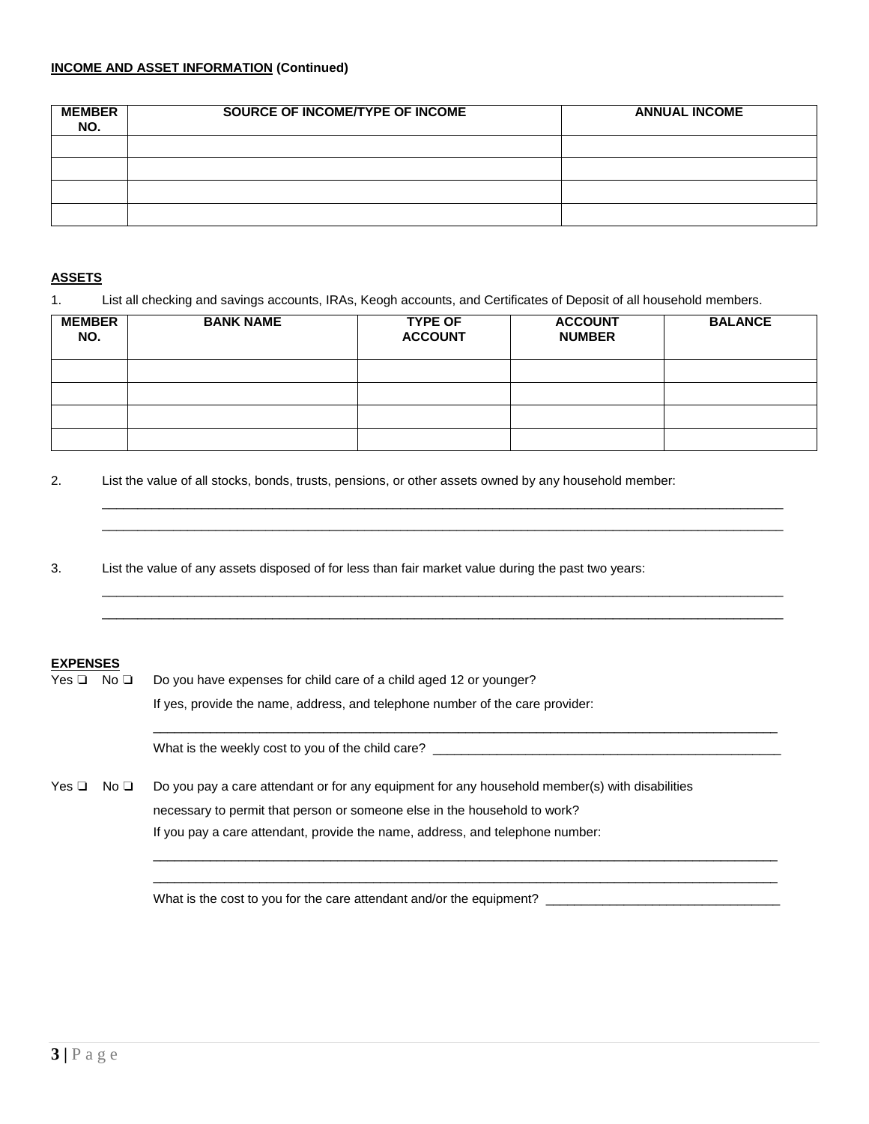| <b>MEMBER</b><br>NO. | SOURCE OF INCOME/TYPE OF INCOME | <b>ANNUAL INCOME</b> |
|----------------------|---------------------------------|----------------------|
|                      |                                 |                      |
|                      |                                 |                      |
|                      |                                 |                      |
|                      |                                 |                      |

### **ASSETS**

1. List all checking and savings accounts, IRAs, Keogh accounts, and Certificates of Deposit of all household members.

| <b>MEMBER</b><br>NO. | <b>BANK NAME</b> | <b>TYPE OF</b><br><b>ACCOUNT</b> | <b>ACCOUNT</b><br><b>NUMBER</b> | <b>BALANCE</b> |
|----------------------|------------------|----------------------------------|---------------------------------|----------------|
|                      |                  |                                  |                                 |                |
|                      |                  |                                  |                                 |                |
|                      |                  |                                  |                                 |                |
|                      |                  |                                  |                                 |                |

 $\mathcal{L}_\mathcal{L} = \{ \mathcal{L}_\mathcal{L} = \{ \mathcal{L}_\mathcal{L} = \{ \mathcal{L}_\mathcal{L} = \{ \mathcal{L}_\mathcal{L} = \{ \mathcal{L}_\mathcal{L} = \{ \mathcal{L}_\mathcal{L} = \{ \mathcal{L}_\mathcal{L} = \{ \mathcal{L}_\mathcal{L} = \{ \mathcal{L}_\mathcal{L} = \{ \mathcal{L}_\mathcal{L} = \{ \mathcal{L}_\mathcal{L} = \{ \mathcal{L}_\mathcal{L} = \{ \mathcal{L}_\mathcal{L} = \{ \mathcal{L}_\mathcal{$  $\mathcal{L}_\mathcal{L} = \{ \mathcal{L}_\mathcal{L} = \{ \mathcal{L}_\mathcal{L} = \{ \mathcal{L}_\mathcal{L} = \{ \mathcal{L}_\mathcal{L} = \{ \mathcal{L}_\mathcal{L} = \{ \mathcal{L}_\mathcal{L} = \{ \mathcal{L}_\mathcal{L} = \{ \mathcal{L}_\mathcal{L} = \{ \mathcal{L}_\mathcal{L} = \{ \mathcal{L}_\mathcal{L} = \{ \mathcal{L}_\mathcal{L} = \{ \mathcal{L}_\mathcal{L} = \{ \mathcal{L}_\mathcal{L} = \{ \mathcal{L}_\mathcal{$ 

 $\mathcal{L}_\mathcal{L} = \{ \mathcal{L}_\mathcal{L} = \{ \mathcal{L}_\mathcal{L} = \{ \mathcal{L}_\mathcal{L} = \{ \mathcal{L}_\mathcal{L} = \{ \mathcal{L}_\mathcal{L} = \{ \mathcal{L}_\mathcal{L} = \{ \mathcal{L}_\mathcal{L} = \{ \mathcal{L}_\mathcal{L} = \{ \mathcal{L}_\mathcal{L} = \{ \mathcal{L}_\mathcal{L} = \{ \mathcal{L}_\mathcal{L} = \{ \mathcal{L}_\mathcal{L} = \{ \mathcal{L}_\mathcal{L} = \{ \mathcal{L}_\mathcal{$  $\mathcal{L}_\mathcal{L} = \{ \mathcal{L}_\mathcal{L} = \{ \mathcal{L}_\mathcal{L} = \{ \mathcal{L}_\mathcal{L} = \{ \mathcal{L}_\mathcal{L} = \{ \mathcal{L}_\mathcal{L} = \{ \mathcal{L}_\mathcal{L} = \{ \mathcal{L}_\mathcal{L} = \{ \mathcal{L}_\mathcal{L} = \{ \mathcal{L}_\mathcal{L} = \{ \mathcal{L}_\mathcal{L} = \{ \mathcal{L}_\mathcal{L} = \{ \mathcal{L}_\mathcal{L} = \{ \mathcal{L}_\mathcal{L} = \{ \mathcal{L}_\mathcal{$ 

2. List the value of all stocks, bonds, trusts, pensions, or other assets owned by any household member:

3. List the value of any assets disposed of for less than fair market value during the past two years:

#### **EXPENSES**

| No <sub>1</sub><br>Yes $\Box$ |  | Do you have expenses for child care of a child aged 12 or younger?                                                                                                                                                                                           |  |  |
|-------------------------------|--|--------------------------------------------------------------------------------------------------------------------------------------------------------------------------------------------------------------------------------------------------------------|--|--|
|                               |  | If yes, provide the name, address, and telephone number of the care provider:                                                                                                                                                                                |  |  |
|                               |  | What is the weekly cost to you of the child care?                                                                                                                                                                                                            |  |  |
| Yes ❑<br>No □                 |  | Do you pay a care attendant or for any equipment for any household member(s) with disabilities<br>necessary to permit that person or someone else in the household to work?<br>If you pay a care attendant, provide the name, address, and telephone number: |  |  |

What is the cost to you for the care attendant and/or the equipment? \_\_\_\_\_\_\_\_\_\_\_\_\_\_\_\_\_\_\_\_\_\_\_\_\_\_\_\_\_\_\_\_\_